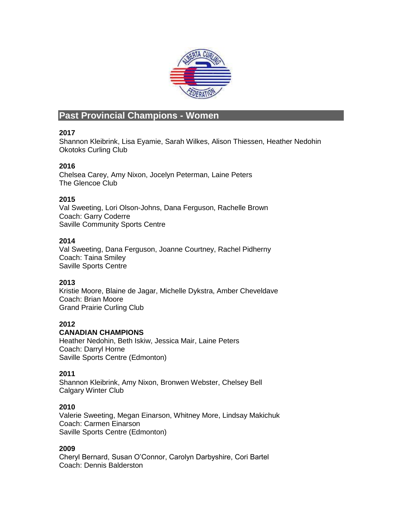

# **Past Provincial Champions - Women**

# **2017**

Shannon Kleibrink, Lisa Eyamie, Sarah Wilkes, Alison Thiessen, Heather Nedohin Okotoks Curling Club

# **2016**

Chelsea Carey, Amy Nixon, Jocelyn Peterman, Laine Peters The Glencoe Club

# **2015**

Val Sweeting, Lori Olson-Johns, Dana Ferguson, Rachelle Brown Coach: Garry Coderre Saville Community Sports Centre

# **2014**

Val Sweeting, Dana Ferguson, Joanne Courtney, Rachel Pidherny Coach: Taina Smiley Saville Sports Centre

# **2013**

Kristie Moore, Blaine de Jagar, Michelle Dykstra, Amber Cheveldave Coach: Brian Moore Grand Prairie Curling Club

# **2012**

# **CANADIAN CHAMPIONS**

Heather Nedohin, Beth Iskiw, Jessica Mair, Laine Peters Coach: Darryl Horne Saville Sports Centre (Edmonton)

# **2011**

Shannon Kleibrink, Amy Nixon, Bronwen Webster, Chelsey Bell Calgary Winter Club

# **2010**

Valerie Sweeting, Megan Einarson, Whitney More, Lindsay Makichuk Coach: Carmen Einarson Saville Sports Centre (Edmonton)

# **2009**

Cheryl Bernard, Susan O'Connor, Carolyn Darbyshire, Cori Bartel Coach: Dennis Balderston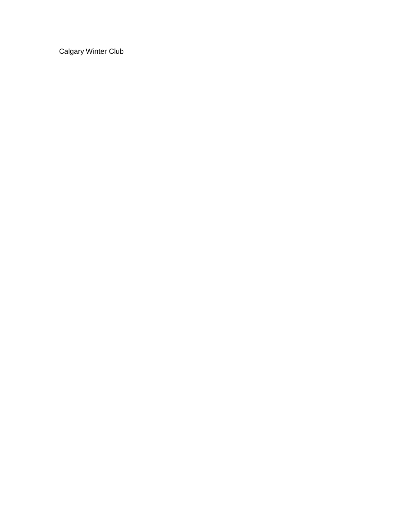Calgary Winter Club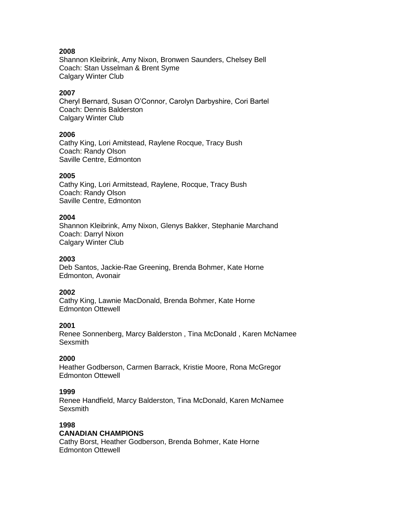Shannon Kleibrink, Amy Nixon, Bronwen Saunders, Chelsey Bell Coach: Stan Usselman & Brent Syme Calgary Winter Club

### **2007**

Cheryl Bernard, Susan O'Connor, Carolyn Darbyshire, Cori Bartel Coach: Dennis Balderston Calgary Winter Club

#### **2006**

Cathy King, Lori Amitstead, Raylene Rocque, Tracy Bush Coach: Randy Olson Saville Centre, Edmonton

#### **2005**

Cathy King, Lori Armitstead, Raylene, Rocque, Tracy Bush Coach: Randy Olson Saville Centre, Edmonton

#### **2004**

Shannon Kleibrink, Amy Nixon, Glenys Bakker, Stephanie Marchand Coach: Darryl Nixon Calgary Winter Club

### **2003**

Deb Santos, Jackie-Rae Greening, Brenda Bohmer, Kate Horne Edmonton, Avonair

#### **2002**

Cathy King, Lawnie MacDonald, Brenda Bohmer, Kate Horne Edmonton Ottewell

### **2001**

Renee Sonnenberg, Marcy Balderston , Tina McDonald , Karen McNamee **Sexsmith** 

#### **2000**

Heather Godberson, Carmen Barrack, Kristie Moore, Rona McGregor Edmonton Ottewell

#### **1999**

Renee Handfield, Marcy Balderston, Tina McDonald, Karen McNamee **Sexsmith** 

#### **1998**

#### **CANADIAN CHAMPIONS**

Cathy Borst, Heather Godberson, Brenda Bohmer, Kate Horne Edmonton Ottewell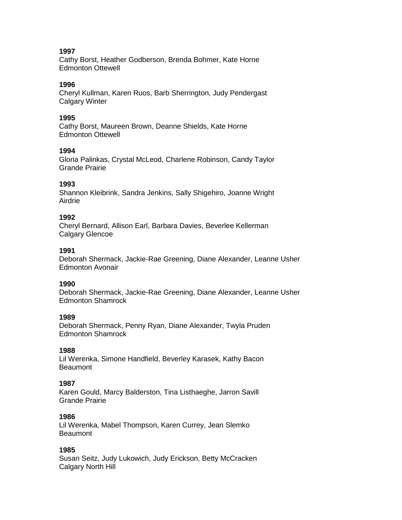Cathy Borst, Heather Godberson, Brenda Bohmer, Kate Horne Edmonton Ottewell

#### **1996**

Cheryl Kullman, Karen Ruos, Barb Sherrington, Judy Pendergast Calgary Winter

#### **1995**

Cathy Borst, Maureen Brown, Deanne Shields, Kate Horne Edmonton Ottewell

#### **1994**

Gloria Palinkas, Crystal McLeod, Charlene Robinson, Candy Taylor Grande Prairie

#### **1993**

Shannon Kleibrink, Sandra Jenkins, Sally Shigehiro, Joanne Wright Airdrie

### **1992**

Cheryl Bernard, Allison Earl, Barbara Davies, Beverlee Kellerman Calgary Glencoe

#### **1991**

Deborah Shermack, Jackie-Rae Greening, Diane Alexander, Leanne Usher Edmonton Avonair

#### **1990**

Deborah Shermack, Jackie-Rae Greening, Diane Alexander, Leanne Usher Edmonton Shamrock

#### **1989**

Deborah Shermack, Penny Ryan, Diane Alexander, Twyla Pruden Edmonton Shamrock

#### **1988**

Lil Werenka, Simone Handfield, Beverley Karasek, Kathy Bacon **Beaumont** 

#### **1987**

Karen Gould, Marcy Balderston, Tina Listhaeghe, Jarron Savill Grande Prairie

#### **1986**

Lil Werenka, Mabel Thompson, Karen Currey, Jean Slemko **Beaumont** 

### **1985**

Susan Seitz, Judy Lukowich, Judy Erickson, Betty McCracken Calgary North Hill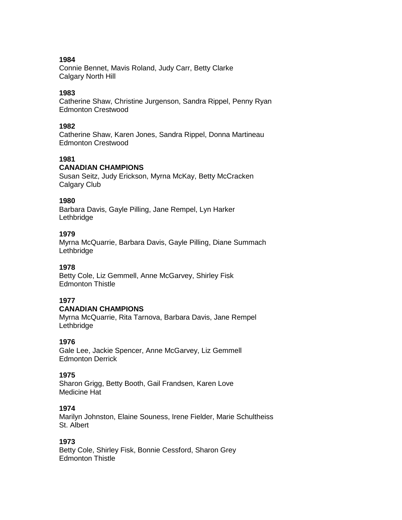Connie Bennet, Mavis Roland, Judy Carr, Betty Clarke Calgary North Hill

#### **1983**

Catherine Shaw, Christine Jurgenson, Sandra Rippel, Penny Ryan Edmonton Crestwood

#### **1982**

Catherine Shaw, Karen Jones, Sandra Rippel, Donna Martineau Edmonton Crestwood

# **1981**

## **CANADIAN CHAMPIONS**

Susan Seitz, Judy Erickson, Myrna McKay, Betty McCracken Calgary Club

### **1980**

Barbara Davis, Gayle Pilling, Jane Rempel, Lyn Harker Lethbridge

#### **1979**

Myrna McQuarrie, Barbara Davis, Gayle Pilling, Diane Summach Lethbridge

#### **1978**

Betty Cole, Liz Gemmell, Anne McGarvey, Shirley Fisk Edmonton Thistle

#### **1977**

#### **CANADIAN CHAMPIONS**

Myrna McQuarrie, Rita Tarnova, Barbara Davis, Jane Rempel Lethbridge

#### **1976**

Gale Lee, Jackie Spencer, Anne McGarvey, Liz Gemmell Edmonton Derrick

### **1975**

Sharon Grigg, Betty Booth, Gail Frandsen, Karen Love Medicine Hat

### **1974**

Marilyn Johnston, Elaine Souness, Irene Fielder, Marie Schultheiss St. Albert

#### **1973**

Betty Cole, Shirley Fisk, Bonnie Cessford, Sharon Grey Edmonton Thistle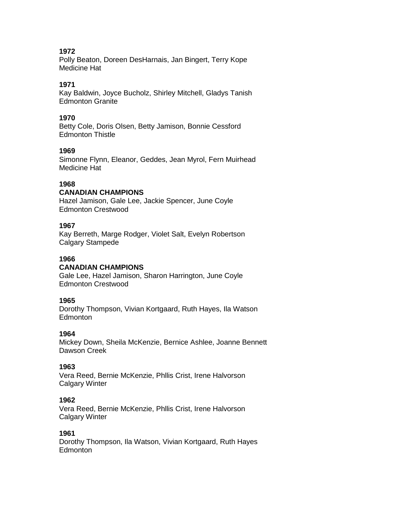Polly Beaton, Doreen DesHarnais, Jan Bingert, Terry Kope Medicine Hat

# **1971**

Kay Baldwin, Joyce Bucholz, Shirley Mitchell, Gladys Tanish Edmonton Granite

## **1970**

Betty Cole, Doris Olsen, Betty Jamison, Bonnie Cessford Edmonton Thistle

## **1969**

Simonne Flynn, Eleanor, Geddes, Jean Myrol, Fern Muirhead Medicine Hat

# **1968**

## **CANADIAN CHAMPIONS**

Hazel Jamison, Gale Lee, Jackie Spencer, June Coyle Edmonton Crestwood

### **1967**

Kay Berreth, Marge Rodger, Violet Salt, Evelyn Robertson Calgary Stampede

### **1966**

### **CANADIAN CHAMPIONS**

Gale Lee, Hazel Jamison, Sharon Harrington, June Coyle Edmonton Crestwood

### **1965**

Dorothy Thompson, Vivian Kortgaard, Ruth Hayes, Ila Watson Edmonton

### **1964**

Mickey Down, Sheila McKenzie, Bernice Ashlee, Joanne Bennett Dawson Creek

### **1963**

Vera Reed, Bernie McKenzie, Phllis Crist, Irene Halvorson Calgary Winter

### **1962**

Vera Reed, Bernie McKenzie, Phllis Crist, Irene Halvorson Calgary Winter

### **1961**

Dorothy Thompson, Ila Watson, Vivian Kortgaard, Ruth Hayes Edmonton